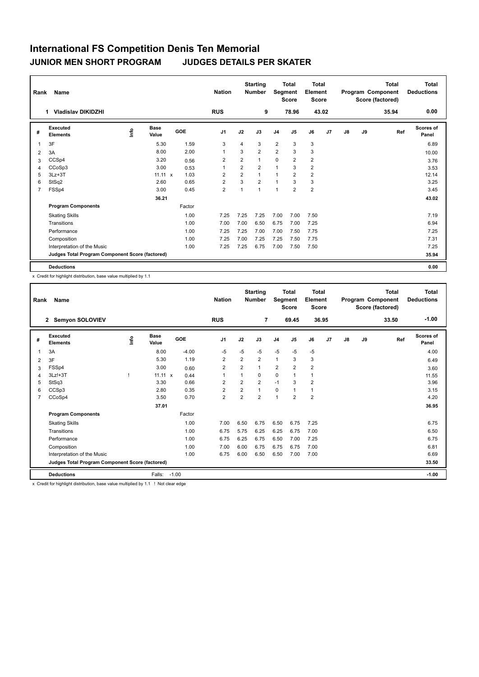| Rank           | Name                                            |    |                      |        | <b>Nation</b>  | <b>Starting</b><br><b>Number</b> |                |                | <b>Total</b><br><b>Total</b><br>Segment<br>Element<br><b>Score</b><br><b>Score</b> |                | <b>Total</b><br>Program Component<br>Score (factored) |               |    | <b>Total</b><br><b>Deductions</b> |                           |
|----------------|-------------------------------------------------|----|----------------------|--------|----------------|----------------------------------|----------------|----------------|------------------------------------------------------------------------------------|----------------|-------------------------------------------------------|---------------|----|-----------------------------------|---------------------------|
|                | <b>Vladislav DIKIDZHI</b><br>1                  |    |                      |        | <b>RUS</b>     |                                  | 9              |                | 78.96                                                                              | 43.02          |                                                       |               |    | 35.94                             | 0.00                      |
| #              | Executed<br><b>Elements</b>                     | ۴ů | <b>Base</b><br>Value | GOE    | J <sub>1</sub> | J2                               | J3             | J <sub>4</sub> | J <sub>5</sub>                                                                     | J6             | J7                                                    | $\mathsf{J}8$ | J9 | Ref                               | <b>Scores of</b><br>Panel |
| 1              | 3F                                              |    | 5.30                 | 1.59   | 3              | 4                                | 3              | $\overline{2}$ | 3                                                                                  | 3              |                                                       |               |    |                                   | 6.89                      |
| 2              | 3A                                              |    | 8.00                 | 2.00   |                | 3                                | $\overline{2}$ | $\overline{2}$ | 3                                                                                  | 3              |                                                       |               |    |                                   | 10.00                     |
| 3              | CCSp4                                           |    | 3.20                 | 0.56   | 2              | 2                                | 1              | $\mathbf 0$    | 2                                                                                  | $\overline{2}$ |                                                       |               |    |                                   | 3.76                      |
| 4              | CCoSp3                                          |    | 3.00                 | 0.53   |                | 2                                | $\overline{2}$ | $\overline{1}$ | 3                                                                                  | $\overline{2}$ |                                                       |               |    |                                   | 3.53                      |
| 5              | $3Lz + 3T$                                      |    | $11.11 \times$       | 1.03   | 2              | $\overline{2}$                   | $\overline{1}$ | $\overline{1}$ | $\overline{2}$                                                                     | $\overline{2}$ |                                                       |               |    |                                   | 12.14                     |
| 6              | StSq2                                           |    | 2.60                 | 0.65   | $\overline{2}$ | 3                                | $\overline{2}$ | $\overline{1}$ | 3                                                                                  | 3              |                                                       |               |    |                                   | 3.25                      |
| $\overline{7}$ | FSSp4                                           |    | 3.00                 | 0.45   | $\overline{2}$ | 1                                | 1              | 1              | 2                                                                                  | $\overline{2}$ |                                                       |               |    |                                   | 3.45                      |
|                |                                                 |    | 36.21                |        |                |                                  |                |                |                                                                                    |                |                                                       |               |    |                                   | 43.02                     |
|                | <b>Program Components</b>                       |    |                      | Factor |                |                                  |                |                |                                                                                    |                |                                                       |               |    |                                   |                           |
|                | <b>Skating Skills</b>                           |    |                      | 1.00   | 7.25           | 7.25                             | 7.25           | 7.00           | 7.00                                                                               | 7.50           |                                                       |               |    |                                   | 7.19                      |
|                | Transitions                                     |    |                      | 1.00   | 7.00           | 7.00                             | 6.50           | 6.75           | 7.00                                                                               | 7.25           |                                                       |               |    |                                   | 6.94                      |
|                | Performance                                     |    |                      | 1.00   | 7.25           | 7.25                             | 7.00           | 7.00           | 7.50                                                                               | 7.75           |                                                       |               |    |                                   | 7.25                      |
|                | Composition                                     |    |                      | 1.00   | 7.25           | 7.00                             | 7.25           | 7.25           | 7.50                                                                               | 7.75           |                                                       |               |    |                                   | 7.31                      |
|                | Interpretation of the Music                     |    |                      | 1.00   | 7.25           | 7.25                             | 6.75           | 7.00           | 7.50                                                                               | 7.50           |                                                       |               |    |                                   | 7.25                      |
|                | Judges Total Program Component Score (factored) |    |                      |        |                |                                  |                |                |                                                                                    |                |                                                       |               |    |                                   | 35.94                     |
|                | <b>Deductions</b>                               |    |                      |        |                |                                  |                |                |                                                                                    |                |                                                       |               |    |                                   | 0.00                      |

x Credit for highlight distribution, base value multiplied by 1.1

| Rank           | <b>Name</b>                                     |      |                      |         | <b>Nation</b>  |                | <b>Starting</b><br><b>Number</b> | Segment        | Total<br><b>Score</b> | Total<br>Element<br><b>Score</b> |       |               |    | <b>Total</b><br>Program Component<br>Score (factored) | <b>Total</b><br><b>Deductions</b> |
|----------------|-------------------------------------------------|------|----------------------|---------|----------------|----------------|----------------------------------|----------------|-----------------------|----------------------------------|-------|---------------|----|-------------------------------------------------------|-----------------------------------|
|                | <b>Semyon SOLOVIEV</b><br>$\mathbf{2}$          |      |                      |         | <b>RUS</b>     |                | 7                                |                | 69.45                 |                                  | 36.95 |               |    | 33.50                                                 | $-1.00$                           |
| #              | Executed<br><b>Elements</b>                     | lnfo | <b>Base</b><br>Value | GOE     | J <sub>1</sub> | J2             | J3                               | J <sub>4</sub> | J5                    | J6                               | J7    | $\mathsf{J}8$ | J9 | Ref                                                   | Scores of<br>Panel                |
|                | 3A                                              |      | 8.00                 | $-4.00$ | $-5$           | $-5$           | $-5$                             | $-5$           | $-5$                  | $-5$                             |       |               |    |                                                       | 4.00                              |
| 2              | 3F                                              |      | 5.30                 | 1.19    | 2              | 2              | $\overline{2}$                   | $\mathbf{1}$   | 3                     | 3                                |       |               |    |                                                       | 6.49                              |
| 3              | FSSp4                                           |      | 3.00                 | 0.60    | $\overline{2}$ | $\overline{2}$ | 1                                | $\overline{2}$ | $\overline{2}$        | $\overline{2}$                   |       |               |    |                                                       | 3.60                              |
| $\overline{4}$ | $3Lz!+3T$                                       |      | $11.11 \times$       | 0.44    | $\mathbf{1}$   | 1              | 0                                | $\mathbf 0$    | 1                     | $\mathbf{1}$                     |       |               |    |                                                       | 11.55                             |
| 5              | StSq3                                           |      | 3.30                 | 0.66    | $\overline{2}$ | $\overline{2}$ | $\overline{2}$                   | $-1$           | 3                     | $\overline{2}$                   |       |               |    |                                                       | 3.96                              |
| 6              | CCSp3                                           |      | 2.80                 | 0.35    | $\overline{2}$ | 2              | $\mathbf{1}$                     | $\pmb{0}$      |                       | $\mathbf{1}$                     |       |               |    |                                                       | 3.15                              |
| $\overline{7}$ | CCoSp4                                          |      | 3.50                 | 0.70    | $\overline{2}$ | $\overline{2}$ | $\overline{2}$                   | $\overline{1}$ | $\overline{2}$        | $\overline{2}$                   |       |               |    |                                                       | 4.20                              |
|                |                                                 |      | 37.01                |         |                |                |                                  |                |                       |                                  |       |               |    |                                                       | 36.95                             |
|                | <b>Program Components</b>                       |      |                      | Factor  |                |                |                                  |                |                       |                                  |       |               |    |                                                       |                                   |
|                | <b>Skating Skills</b>                           |      |                      | 1.00    | 7.00           | 6.50           | 6.75                             | 6.50           | 6.75                  | 7.25                             |       |               |    |                                                       | 6.75                              |
|                | Transitions                                     |      |                      | 1.00    | 6.75           | 5.75           | 6.25                             | 6.25           | 6.75                  | 7.00                             |       |               |    |                                                       | 6.50                              |
|                | Performance                                     |      |                      | 1.00    | 6.75           | 6.25           | 6.75                             | 6.50           | 7.00                  | 7.25                             |       |               |    |                                                       | 6.75                              |
|                | Composition                                     |      |                      | 1.00    | 7.00           | 6.00           | 6.75                             | 6.75           | 6.75                  | 7.00                             |       |               |    |                                                       | 6.81                              |
|                | Interpretation of the Music                     |      |                      | 1.00    | 6.75           | 6.00           | 6.50                             | 6.50           | 7.00                  | 7.00                             |       |               |    |                                                       | 6.69                              |
|                | Judges Total Program Component Score (factored) |      |                      |         |                |                |                                  |                |                       |                                  |       |               |    |                                                       | 33.50                             |
|                | <b>Deductions</b>                               |      | Falls:               | $-1.00$ |                |                |                                  |                |                       |                                  |       |               |    |                                                       | $-1.00$                           |

x Credit for highlight distribution, base value multiplied by 1.1 ! Not clear edge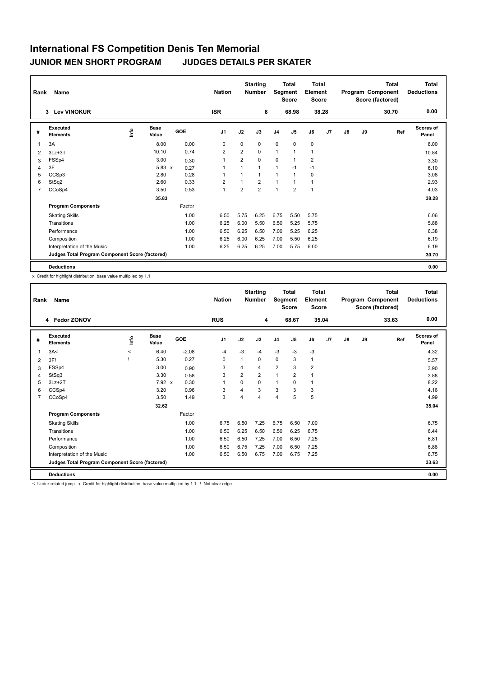| Rank           | Name                                            |    |                      |        | <b>Nation</b>  | <b>Starting</b><br><b>Number</b> |                | <b>Total</b><br>Segment<br><b>Score</b> |                | Total<br>Element<br><b>Score</b> |    |               |    | <b>Total</b><br>Program Component<br>Score (factored) | <b>Total</b><br><b>Deductions</b> |
|----------------|-------------------------------------------------|----|----------------------|--------|----------------|----------------------------------|----------------|-----------------------------------------|----------------|----------------------------------|----|---------------|----|-------------------------------------------------------|-----------------------------------|
|                | 3 Lev VINOKUR                                   |    |                      |        | <b>ISR</b>     |                                  | 8              |                                         | 68.98          | 38.28                            |    |               |    | 30.70                                                 | 0.00                              |
| #              | Executed<br><b>Elements</b>                     | ۴ů | <b>Base</b><br>Value | GOE    | J <sub>1</sub> | J2                               | J3             | J <sub>4</sub>                          | J <sub>5</sub> | J6                               | J7 | $\mathsf{J}8$ | J9 | Ref                                                   | <b>Scores of</b><br>Panel         |
| 1              | 3A                                              |    | 8.00                 | 0.00   | 0              | $\mathbf 0$                      | 0              | $\mathbf 0$                             | $\mathbf 0$    | $\mathbf 0$                      |    |               |    |                                                       | 8.00                              |
| 2              | $3Lz + 3T$                                      |    | 10.10                | 0.74   | $\overline{2}$ | 2                                | 0              | $\mathbf{1}$                            | $\mathbf{1}$   | 1                                |    |               |    |                                                       | 10.84                             |
| 3              | FSSp4                                           |    | 3.00                 | 0.30   | $\overline{1}$ | 2                                | 0              | 0                                       | $\mathbf{1}$   | 2                                |    |               |    |                                                       | 3.30                              |
| 4              | 3F                                              |    | $5.83 \times$        | 0.27   |                | $\overline{ }$                   | 1              | $\mathbf{1}$                            | $-1$           | $-1$                             |    |               |    |                                                       | 6.10                              |
| 5              | CCSp3                                           |    | 2.80                 | 0.28   |                | 1                                | 1              | $\overline{1}$                          | 1              | 0                                |    |               |    |                                                       | 3.08                              |
| 6              | StSq2                                           |    | 2.60                 | 0.33   | $\overline{2}$ | $\overline{1}$                   | $\overline{2}$ | $\overline{1}$                          | 1              | 1                                |    |               |    |                                                       | 2.93                              |
| $\overline{7}$ | CCoSp4                                          |    | 3.50                 | 0.53   | $\mathbf{1}$   | 2                                | $\overline{2}$ | $\overline{1}$                          | 2              | 1                                |    |               |    |                                                       | 4.03                              |
|                |                                                 |    | 35.83                |        |                |                                  |                |                                         |                |                                  |    |               |    |                                                       | 38.28                             |
|                | <b>Program Components</b>                       |    |                      | Factor |                |                                  |                |                                         |                |                                  |    |               |    |                                                       |                                   |
|                | <b>Skating Skills</b>                           |    |                      | 1.00   | 6.50           | 5.75                             | 6.25           | 6.75                                    | 5.50           | 5.75                             |    |               |    |                                                       | 6.06                              |
|                | Transitions                                     |    |                      | 1.00   | 6.25           | 6.00                             | 5.50           | 6.50                                    | 5.25           | 5.75                             |    |               |    |                                                       | 5.88                              |
|                | Performance                                     |    |                      | 1.00   | 6.50           | 6.25                             | 6.50           | 7.00                                    | 5.25           | 6.25                             |    |               |    |                                                       | 6.38                              |
|                | Composition                                     |    |                      | 1.00   | 6.25           | 6.00                             | 6.25           | 7.00                                    | 5.50           | 6.25                             |    |               |    |                                                       | 6.19                              |
|                | Interpretation of the Music                     |    |                      | 1.00   | 6.25           | 6.25                             | 6.25           | 7.00                                    | 5.75           | 6.00                             |    |               |    |                                                       | 6.19                              |
|                | Judges Total Program Component Score (factored) |    |                      |        |                |                                  |                |                                         |                |                                  |    |               |    |                                                       | 30.70                             |
|                | <b>Deductions</b>                               |    |                      |        |                |                                  |                |                                         |                |                                  |    |               |    |                                                       | 0.00                              |

x Credit for highlight distribution, base value multiplied by 1.1

| Rank           | <b>Name</b>                                     |         |                      |         | <b>Nation</b>  |                | <b>Starting</b><br><b>Number</b> | <b>Total</b><br>Segment<br><b>Score</b> |                | Total<br>Element<br><b>Score</b><br>35.04 |    | Program Component |    | <b>Total</b><br>Score (factored) | <b>Total</b><br><b>Deductions</b> |
|----------------|-------------------------------------------------|---------|----------------------|---------|----------------|----------------|----------------------------------|-----------------------------------------|----------------|-------------------------------------------|----|-------------------|----|----------------------------------|-----------------------------------|
|                | 4 Fedor ZONOV                                   |         |                      |         | <b>RUS</b>     |                | 4                                |                                         | 68.67          |                                           |    |                   |    | 33.63                            | 0.00                              |
| #              | Executed<br><b>Elements</b>                     | ١nf٥    | <b>Base</b><br>Value | GOE     | J <sub>1</sub> | J2             | J3                               | J <sub>4</sub>                          | J5             | J6                                        | J7 | $\mathsf{J}8$     | J9 | Ref                              | Scores of<br>Panel                |
| 1              | 3A<                                             | $\prec$ | 6.40                 | $-2.08$ | $-4$           | $-3$           | $-4$                             | $-3$                                    | $-3$           | $-3$                                      |    |                   |    |                                  | 4.32                              |
| 2              | 3F!                                             |         | 5.30                 | 0.27    | 0              | 1              | 0                                | 0                                       | 3              | $\mathbf{1}$                              |    |                   |    |                                  | 5.57                              |
| 3              | FSSp4                                           |         | 3.00                 | 0.90    | 3              | 4              | 4                                | $\overline{2}$                          | 3              | $\overline{2}$                            |    |                   |    |                                  | 3.90                              |
| $\overline{4}$ | StSq3                                           |         | 3.30                 | 0.58    | 3              | $\overline{2}$ | $\overline{2}$                   | $\mathbf{1}$                            | $\overline{2}$ | $\overline{1}$                            |    |                   |    |                                  | 3.88                              |
| 5              | $3Lz + 2T$                                      |         | $7.92 \times$        | 0.30    | $\mathbf{1}$   | $\Omega$       | 0                                | $\mathbf{1}$                            | $\Omega$       | $\mathbf{1}$                              |    |                   |    |                                  | 8.22                              |
| 6              | CCSp4                                           |         | 3.20                 | 0.96    | 3              | 4              | 3                                | 3                                       | 3              | 3                                         |    |                   |    |                                  | 4.16                              |
| $\overline{7}$ | CCoSp4                                          |         | 3.50                 | 1.49    | 3              | 4              | 4                                | $\overline{4}$                          | 5              | 5                                         |    |                   |    |                                  | 4.99                              |
|                |                                                 |         | 32.62                |         |                |                |                                  |                                         |                |                                           |    |                   |    |                                  | 35.04                             |
|                | <b>Program Components</b>                       |         |                      | Factor  |                |                |                                  |                                         |                |                                           |    |                   |    |                                  |                                   |
|                | <b>Skating Skills</b>                           |         |                      | 1.00    | 6.75           | 6.50           | 7.25                             | 6.75                                    | 6.50           | 7.00                                      |    |                   |    |                                  | 6.75                              |
|                | Transitions                                     |         |                      | 1.00    | 6.50           | 6.25           | 6.50                             | 6.50                                    | 6.25           | 6.75                                      |    |                   |    |                                  | 6.44                              |
|                | Performance                                     |         |                      | 1.00    | 6.50           | 6.50           | 7.25                             | 7.00                                    | 6.50           | 7.25                                      |    |                   |    |                                  | 6.81                              |
|                | Composition                                     |         |                      | 1.00    | 6.50           | 6.75           | 7.25                             | 7.00                                    | 6.50           | 7.25                                      |    |                   |    |                                  | 6.88                              |
|                | Interpretation of the Music                     |         |                      | 1.00    | 6.50           | 6.50           | 6.75                             | 7.00                                    | 6.75           | 7.25                                      |    |                   |    |                                  | 6.75                              |
|                | Judges Total Program Component Score (factored) |         |                      |         |                |                |                                  |                                         |                |                                           |    |                   |    |                                  | 33.63                             |
|                | <b>Deductions</b>                               |         |                      |         |                |                |                                  |                                         |                |                                           |    |                   |    |                                  | 0.00                              |

< Under-rotated jump x Credit for highlight distribution, base value multiplied by 1.1 ! Not clear edge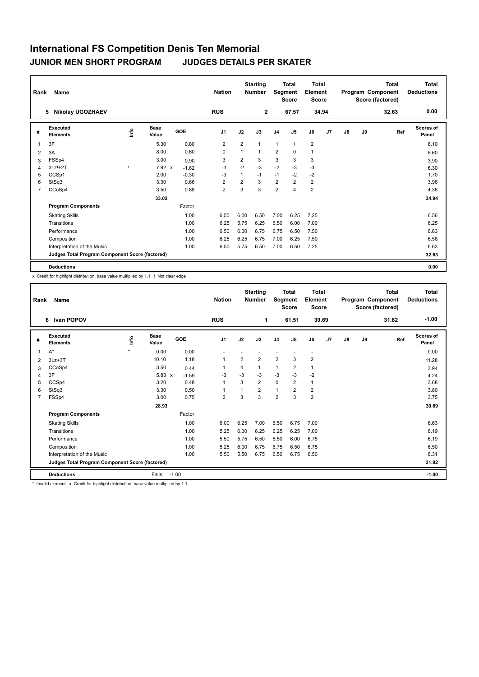| Rank           | Name                                            |   |                      |         | <b>Nation</b>  | <b>Starting</b><br><b>Number</b> |                | <b>Total</b><br>Segment<br><b>Score</b> |                | <b>Total</b><br>Element<br><b>Score</b> |                |               |    | <b>Total</b><br>Program Component<br>Score (factored) | <b>Total</b><br><b>Deductions</b> |
|----------------|-------------------------------------------------|---|----------------------|---------|----------------|----------------------------------|----------------|-----------------------------------------|----------------|-----------------------------------------|----------------|---------------|----|-------------------------------------------------------|-----------------------------------|
|                | <b>Nikolay UGOZHAEV</b><br>5                    |   |                      |         | <b>RUS</b>     |                                  | $\overline{2}$ |                                         | 67.57          | 34.94                                   |                |               |    | 32.63                                                 | 0.00                              |
| #              | Executed<br><b>Elements</b>                     | ۴ | <b>Base</b><br>Value | GOE     | J <sub>1</sub> | J2                               | J3             | J <sub>4</sub>                          | J <sub>5</sub> | J6                                      | J <sub>7</sub> | $\mathsf{J}8$ | J9 | Ref                                                   | <b>Scores of</b><br>Panel         |
| 1              | 3F                                              |   | 5.30                 | 0.80    | $\overline{2}$ | 2                                | 1              | $\mathbf{1}$                            | $\mathbf{1}$   | $\overline{2}$                          |                |               |    |                                                       | 6.10                              |
| 2              | 3A                                              |   | 8.00                 | 0.60    | 0              | 1                                | $\overline{1}$ | $\overline{2}$                          | $\mathbf 0$    | 1                                       |                |               |    |                                                       | 8.60                              |
| 3              | FSSp4                                           |   | 3.00                 | 0.90    | 3              | 2                                | 3              | 3                                       | 3              | 3                                       |                |               |    |                                                       | 3.90                              |
| 4              | $3Lz!+2T$                                       |   | 7.92 x               | $-1.62$ | $-3$           | $-2$                             | $-3$           | $-2$                                    | $-3$           | $-3$                                    |                |               |    |                                                       | 6.30                              |
| 5              | CCSp1                                           |   | 2.00                 | $-0.30$ | -3             | 1                                | $-1$           | $-1$                                    | $-2$           | $-2$                                    |                |               |    |                                                       | 1.70                              |
| 6              | StSq3                                           |   | 3.30                 | 0.66    | $\overline{2}$ | 2                                | 3              | $\overline{2}$                          | 2              | $\overline{2}$                          |                |               |    |                                                       | 3.96                              |
| $\overline{7}$ | CCoSp4                                          |   | 3.50                 | 0.88    | $\overline{2}$ | 3                                | 3              | $\overline{2}$                          | 4              | $\overline{2}$                          |                |               |    |                                                       | 4.38                              |
|                |                                                 |   | 33.02                |         |                |                                  |                |                                         |                |                                         |                |               |    |                                                       | 34.94                             |
|                | <b>Program Components</b>                       |   |                      | Factor  |                |                                  |                |                                         |                |                                         |                |               |    |                                                       |                                   |
|                | <b>Skating Skills</b>                           |   |                      | 1.00    | 6.50           | 6.00                             | 6.50           | 7.00                                    | 6.25           | 7.25                                    |                |               |    |                                                       | 6.56                              |
|                | Transitions                                     |   |                      | 1.00    | 6.25           | 5.75                             | 6.25           | 6.50                                    | 6.00           | 7.00                                    |                |               |    |                                                       | 6.25                              |
|                | Performance                                     |   |                      | 1.00    | 6.50           | 6.00                             | 6.75           | 6.75                                    | 6.50           | 7.50                                    |                |               |    |                                                       | 6.63                              |
|                | Composition                                     |   |                      | 1.00    | 6.25           | 6.25                             | 6.75           | 7.00                                    | 6.25           | 7.50                                    |                |               |    |                                                       | 6.56                              |
|                | Interpretation of the Music                     |   |                      | 1.00    | 6.50           | 5.75                             | 6.50           | 7.00                                    | 6.50           | 7.25                                    |                |               |    |                                                       | 6.63                              |
|                | Judges Total Program Component Score (factored) |   |                      |         |                |                                  |                |                                         |                |                                         |                |               |    |                                                       | 32.63                             |
|                | <b>Deductions</b>                               |   |                      |         |                |                                  |                |                                         |                |                                         |                |               |    |                                                       | 0.00                              |

x Credit for highlight distribution, base value multiplied by 1.1 ! Not clear edge

| Rank           | Name                                            |        |               |         | <b>Nation</b>  |      | <b>Starting</b><br><b>Total</b><br><b>Number</b><br>Segment<br><b>Score</b> |                |                | <b>Total</b><br>Element<br><b>Score</b> |       | Program Component |    | <b>Total</b><br>Score (factored) | <b>Total</b><br><b>Deductions</b> |
|----------------|-------------------------------------------------|--------|---------------|---------|----------------|------|-----------------------------------------------------------------------------|----------------|----------------|-----------------------------------------|-------|-------------------|----|----------------------------------|-----------------------------------|
|                | <b>Ivan POPOV</b><br>6                          |        |               |         | <b>RUS</b>     |      | 1                                                                           |                | 61.51          |                                         | 30.69 |                   |    | 31.82                            | $-1.00$                           |
| #              | Executed<br><b>Elements</b>                     | ١m     | Base<br>Value | GOE     | J <sub>1</sub> | J2   | J3                                                                          | J <sub>4</sub> | J5             | J6                                      | J7    | J8                | J9 | Ref                              | Scores of<br>Panel                |
| 1              | $A^*$                                           | $\Phi$ | 0.00          | 0.00    |                |      |                                                                             |                |                | $\blacksquare$                          |       |                   |    |                                  | 0.00                              |
| 2              | $3Lz + 3T$                                      |        | 10.10         | 1.18    | 1              | 2    | $\overline{2}$                                                              | $\overline{2}$ | 3              | $\overline{2}$                          |       |                   |    |                                  | 11.28                             |
| 3              | CCoSp4                                          |        | 3.50          | 0.44    |                | 4    | 1                                                                           | $\mathbf{1}$   | $\overline{2}$ | 1                                       |       |                   |    |                                  | 3.94                              |
| 4              | 3F                                              |        | $5.83 \times$ | $-1.59$ | -3             | $-3$ | $-3$                                                                        | $-3$           | $-3$           | $-2$                                    |       |                   |    |                                  | 4.24                              |
| 5              | CCSp4                                           |        | 3.20          | 0.48    | $\mathbf{1}$   | 3    | $\overline{2}$                                                              | $\mathbf 0$    | 2              | $\mathbf{1}$                            |       |                   |    |                                  | 3.68                              |
| 6              | StSq3                                           |        | 3.30          | 0.50    | 1              |      | $\overline{2}$                                                              | $\mathbf{1}$   | $\overline{2}$ | $\overline{2}$                          |       |                   |    |                                  | 3.80                              |
| $\overline{7}$ | FSSp4                                           |        | 3.00          | 0.75    | $\overline{2}$ | 3    | 3                                                                           | $\overline{2}$ | 3              | $\overline{2}$                          |       |                   |    |                                  | 3.75                              |
|                |                                                 |        | 28.93         |         |                |      |                                                                             |                |                |                                         |       |                   |    |                                  | 30.69                             |
|                | <b>Program Components</b>                       |        |               | Factor  |                |      |                                                                             |                |                |                                         |       |                   |    |                                  |                                   |
|                | <b>Skating Skills</b>                           |        |               | 1.00    | 6.00           | 6.25 | 7.00                                                                        | 6.50           | 6.75           | 7.00                                    |       |                   |    |                                  | 6.63                              |
|                | Transitions                                     |        |               | 1.00    | 5.25           | 6.00 | 6.25                                                                        | 6.25           | 6.25           | 7.00                                    |       |                   |    |                                  | 6.19                              |
|                | Performance                                     |        |               | 1.00    | 5.50           | 5.75 | 6.50                                                                        | 6.50           | 6.00           | 6.75                                    |       |                   |    |                                  | 6.19                              |
|                | Composition                                     |        |               | 1.00    | 5.25           | 6.00 | 6.75                                                                        | 6.75           | 6.50           | 6.75                                    |       |                   |    |                                  | 6.50                              |
|                | Interpretation of the Music                     |        |               | 1.00    | 5.50           | 5.50 | 6.75                                                                        | 6.50           | 6.75           | 6.50                                    |       |                   |    |                                  | 6.31                              |
|                | Judges Total Program Component Score (factored) |        |               |         |                |      |                                                                             |                |                |                                         |       |                   |    |                                  | 31.82                             |
|                | <b>Deductions</b>                               |        | Falls:        | $-1.00$ |                |      |                                                                             |                |                |                                         |       |                   |    |                                  | $-1.00$                           |

\* Invalid element x Credit for highlight distribution, base value multiplied by 1.1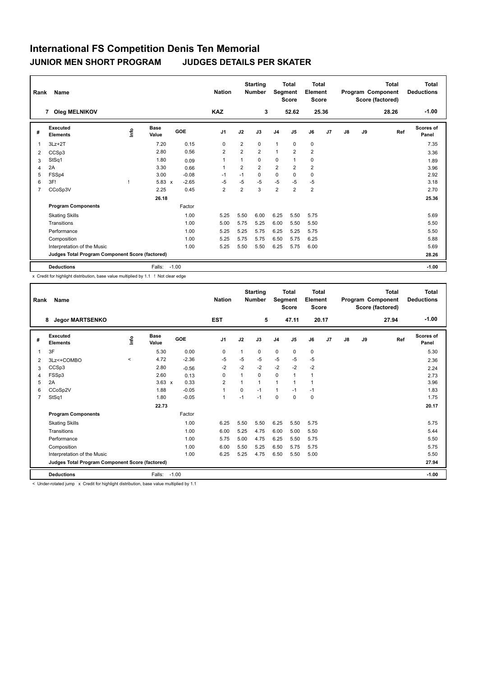| Rank | Name                                            |      |                      |         | <b>Starting</b><br><b>Nation</b><br><b>Number</b> |                |                | <b>Total</b><br>Total<br>Segment<br>Element<br><b>Score</b><br><b>Score</b> |                |                | <b>Total</b><br>Program Component<br>Score (factored) |    |    | Total<br><b>Deductions</b> |                    |
|------|-------------------------------------------------|------|----------------------|---------|---------------------------------------------------|----------------|----------------|-----------------------------------------------------------------------------|----------------|----------------|-------------------------------------------------------|----|----|----------------------------|--------------------|
|      | 7 Oleg MELNIKOV                                 |      |                      |         | <b>KAZ</b>                                        |                | 3              |                                                                             | 52.62          | 25.36          |                                                       |    |    | 28.26                      | $-1.00$            |
| #    | Executed<br><b>Elements</b>                     | lnfo | <b>Base</b><br>Value | GOE     | J <sub>1</sub>                                    | J2             | J3             | J <sub>4</sub>                                                              | J <sub>5</sub> | J6             | J <sub>7</sub>                                        | J8 | J9 | Ref                        | Scores of<br>Panel |
| 1    | $3Lz + 2T$                                      |      | 7.20                 | 0.15    | 0                                                 | $\overline{2}$ | $\Omega$       | $\mathbf{1}$                                                                | 0              | $\mathbf 0$    |                                                       |    |    |                            | 7.35               |
| 2    | CCSp3                                           |      | 2.80                 | 0.56    | 2                                                 | $\overline{2}$ | $\overline{2}$ | $\mathbf{1}$                                                                | 2              | $\overline{2}$ |                                                       |    |    |                            | 3.36               |
| 3    | StSq1                                           |      | 1.80                 | 0.09    | 1                                                 |                | $\Omega$       | $\mathbf 0$                                                                 | 1              | 0              |                                                       |    |    |                            | 1.89               |
| 4    | 2A                                              |      | 3.30                 | 0.66    | -1                                                | $\overline{2}$ | $\overline{2}$ | $\overline{2}$                                                              | 2              | $\overline{2}$ |                                                       |    |    |                            | 3.96               |
| 5    | FSSp4                                           |      | 3.00                 | $-0.08$ | $-1$                                              | $-1$           | $\mathbf 0$    | $\mathbf 0$                                                                 | $\mathbf 0$    | $\mathbf 0$    |                                                       |    |    |                            | 2.92               |
| 6    | 3F!                                             |      | $5.83 \times$        | $-2.65$ | $-5$                                              | $-5$           | $-5$           | $-5$                                                                        | $-5$           | $-5$           |                                                       |    |    |                            | 3.18               |
| 7    | CCoSp3V                                         |      | 2.25                 | 0.45    | 2                                                 | $\overline{2}$ | 3              | $\overline{2}$                                                              | $\overline{2}$ | $\overline{2}$ |                                                       |    |    |                            | 2.70               |
|      |                                                 |      | 26.18                |         |                                                   |                |                |                                                                             |                |                |                                                       |    |    |                            | 25.36              |
|      | <b>Program Components</b>                       |      |                      | Factor  |                                                   |                |                |                                                                             |                |                |                                                       |    |    |                            |                    |
|      | <b>Skating Skills</b>                           |      |                      | 1.00    | 5.25                                              | 5.50           | 6.00           | 6.25                                                                        | 5.50           | 5.75           |                                                       |    |    |                            | 5.69               |
|      | Transitions                                     |      |                      | 1.00    | 5.00                                              | 5.75           | 5.25           | 6.00                                                                        | 5.50           | 5.50           |                                                       |    |    |                            | 5.50               |
|      | Performance                                     |      |                      | 1.00    | 5.25                                              | 5.25           | 5.75           | 6.25                                                                        | 5.25           | 5.75           |                                                       |    |    |                            | 5.50               |
|      | Composition                                     |      |                      | 1.00    | 5.25                                              | 5.75           | 5.75           | 6.50                                                                        | 5.75           | 6.25           |                                                       |    |    |                            | 5.88               |
|      | Interpretation of the Music                     |      |                      | 1.00    | 5.25                                              | 5.50           | 5.50           | 6.25                                                                        | 5.75           | 6.00           |                                                       |    |    |                            | 5.69               |
|      | Judges Total Program Component Score (factored) |      |                      |         |                                                   |                |                |                                                                             |                |                |                                                       |    |    |                            | 28.26              |
|      | <b>Deductions</b>                               |      | Falls:               | $-1.00$ |                                                   |                |                |                                                                             |                |                |                                                       |    |    |                            | $-1.00$            |

x Credit for highlight distribution, base value multiplied by 1.1 ! Not clear edge

| Rank           | Name                                            |          |               |         | <b>Nation</b>  | <b>Starting</b><br><b>Number</b> |          | Segment        | <b>Total</b><br><b>Score</b> | Total<br>Element<br><b>Score</b> |    |    |    | <b>Total</b><br>Program Component<br>Score (factored) | Total<br><b>Deductions</b> |
|----------------|-------------------------------------------------|----------|---------------|---------|----------------|----------------------------------|----------|----------------|------------------------------|----------------------------------|----|----|----|-------------------------------------------------------|----------------------------|
|                | <b>Jegor MARTSENKO</b><br>8                     |          |               |         | <b>EST</b>     |                                  | 5        |                | 47.11                        | 20.17                            |    |    |    | 27.94                                                 | $-1.00$                    |
| #              | Executed<br><b>Elements</b>                     | ١nf٥     | Base<br>Value | GOE     | J <sub>1</sub> | J2                               | J3       | J <sub>4</sub> | J <sub>5</sub>               | J6                               | J7 | J8 | J9 | Ref                                                   | Scores of<br>Panel         |
|                | 3F                                              |          | 5.30          | 0.00    | $\mathbf 0$    | 1                                | 0        | 0              | $\mathbf 0$                  | $\mathbf 0$                      |    |    |    |                                                       | 5.30                       |
| 2              | 3Lz<+COMBO                                      | $\hat{}$ | 4.72          | $-2.36$ | $-5$           | $-5$                             | $-5$     | $-5$           | $-5$                         | $-5$                             |    |    |    |                                                       | 2.36                       |
| 3              | CCSp3                                           |          | 2.80          | $-0.56$ | $-2$           | $-2$                             | $-2$     | $-2$           | $-2$                         | $-2$                             |    |    |    |                                                       | 2.24                       |
| 4              | FSSp3                                           |          | 2.60          | 0.13    | $\mathbf 0$    | $\overline{1}$                   | $\Omega$ | 0              | 1                            | $\overline{1}$                   |    |    |    |                                                       | 2.73                       |
| 5              | 2A                                              |          | $3.63 \times$ | 0.33    | $\overline{2}$ |                                  | 1        | $\mathbf{1}$   | 1                            | $\overline{1}$                   |    |    |    |                                                       | 3.96                       |
| 6              | CCoSp2V                                         |          | 1.88          | $-0.05$ | 1              | 0                                | $-1$     | $\mathbf{1}$   | $-1$                         | $-1$                             |    |    |    |                                                       | 1.83                       |
| $\overline{7}$ | StSq1                                           |          | 1.80          | $-0.05$ | 1              | $-1$                             | $-1$     | $\mathbf 0$    | $\Omega$                     | $\mathbf 0$                      |    |    |    |                                                       | 1.75                       |
|                |                                                 |          | 22.73         |         |                |                                  |          |                |                              |                                  |    |    |    |                                                       | 20.17                      |
|                | <b>Program Components</b>                       |          |               | Factor  |                |                                  |          |                |                              |                                  |    |    |    |                                                       |                            |
|                | <b>Skating Skills</b>                           |          |               | 1.00    | 6.25           | 5.50                             | 5.50     | 6.25           | 5.50                         | 5.75                             |    |    |    |                                                       | 5.75                       |
|                | Transitions                                     |          |               | 1.00    | 6.00           | 5.25                             | 4.75     | 6.00           | 5.00                         | 5.50                             |    |    |    |                                                       | 5.44                       |
|                | Performance                                     |          |               | 1.00    | 5.75           | 5.00                             | 4.75     | 6.25           | 5.50                         | 5.75                             |    |    |    |                                                       | 5.50                       |
|                | Composition                                     |          |               | 1.00    | 6.00           | 5.50                             | 5.25     | 6.50           | 5.75                         | 5.75                             |    |    |    |                                                       | 5.75                       |
|                | Interpretation of the Music                     |          |               | 1.00    | 6.25           | 5.25                             | 4.75     | 6.50           | 5.50                         | 5.00                             |    |    |    |                                                       | 5.50                       |
|                | Judges Total Program Component Score (factored) |          |               |         |                |                                  |          |                |                              |                                  |    |    |    |                                                       | 27.94                      |
|                | <b>Deductions</b>                               |          | Falls:        | $-1.00$ |                |                                  |          |                |                              |                                  |    |    |    |                                                       | $-1.00$                    |
|                | .                                               |          |               | <br>.   |                |                                  |          |                |                              |                                  |    |    |    |                                                       |                            |

< Under-rotated jump x Credit for highlight distribution, base value multiplied by 1.1